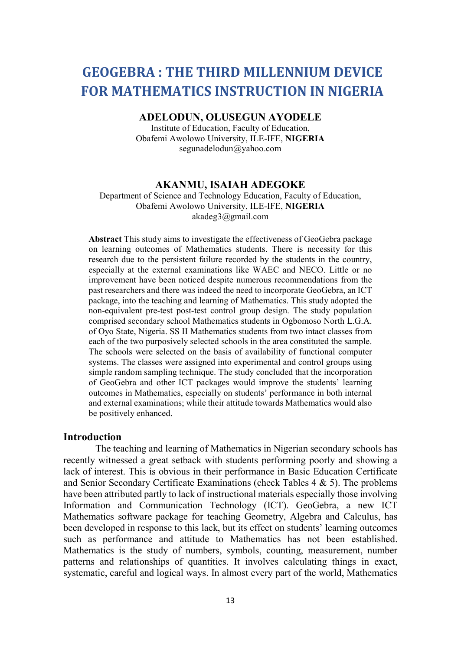# GEOGEBRA : THE THIRD MILLENNIUM DEVICE FOR MATHEMATICS INSTRUCTION IN NIGERIA

ADELODUN, OLUSEGUN AYODELE

Institute of Education, Faculty of Education, Obafemi Awolowo University, ILE-IFE, NIGERIA segunadelodun@yahoo.com

# AKANMU, ISAIAH ADEGOKE

Department of Science and Technology Education, Faculty of Education, Obafemi Awolowo University, ILE-IFE, NIGERIA akadeg3@gmail.com

Abstract This study aims to investigate the effectiveness of GeoGebra package on learning outcomes of Mathematics students. There is necessity for this research due to the persistent failure recorded by the students in the country, especially at the external examinations like WAEC and NECO. Little or no improvement have been noticed despite numerous recommendations from the past researchers and there was indeed the need to incorporate GeoGebra, an ICT package, into the teaching and learning of Mathematics. This study adopted the non-equivalent pre-test post-test control group design. The study population comprised secondary school Mathematics students in Ogbomoso North L.G.A. of Oyo State, Nigeria. SS II Mathematics students from two intact classes from each of the two purposively selected schools in the area constituted the sample. The schools were selected on the basis of availability of functional computer systems. The classes were assigned into experimental and control groups using simple random sampling technique. The study concluded that the incorporation of GeoGebra and other ICT packages would improve the students' learning outcomes in Mathematics, especially on students' performance in both internal and external examinations; while their attitude towards Mathematics would also be positively enhanced.

## Introduction

The teaching and learning of Mathematics in Nigerian secondary schools has recently witnessed a great setback with students performing poorly and showing a lack of interest. This is obvious in their performance in Basic Education Certificate and Senior Secondary Certificate Examinations (check Tables 4 & 5). The problems have been attributed partly to lack of instructional materials especially those involving Information and Communication Technology (ICT). GeoGebra, a new ICT Mathematics software package for teaching Geometry, Algebra and Calculus, has been developed in response to this lack, but its effect on students' learning outcomes such as performance and attitude to Mathematics has not been established. Mathematics is the study of numbers, symbols, counting, measurement, number patterns and relationships of quantities. It involves calculating things in exact, systematic, careful and logical ways. In almost every part of the world, Mathematics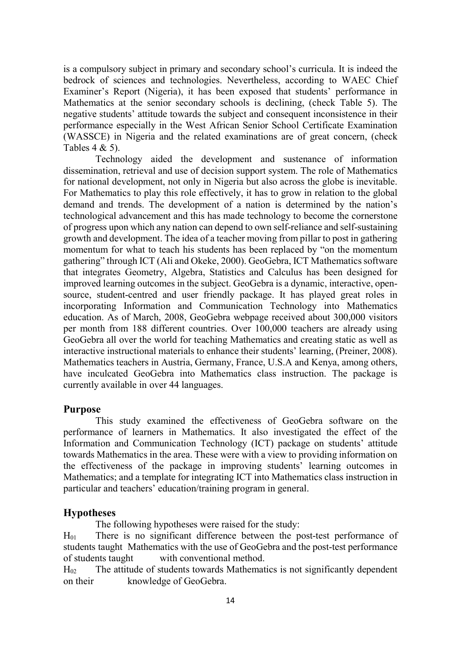is a compulsory subject in primary and secondary school's curricula. It is indeed the bedrock of sciences and technologies. Nevertheless, according to WAEC Chief Examiner's Report (Nigeria), it has been exposed that students' performance in Mathematics at the senior secondary schools is declining, (check Table 5). The negative students' attitude towards the subject and consequent inconsistence in their performance especially in the West African Senior School Certificate Examination (WASSCE) in Nigeria and the related examinations are of great concern, (check Tables 4 & 5).

 Technology aided the development and sustenance of information dissemination, retrieval and use of decision support system. The role of Mathematics for national development, not only in Nigeria but also across the globe is inevitable. For Mathematics to play this role effectively, it has to grow in relation to the global demand and trends. The development of a nation is determined by the nation's technological advancement and this has made technology to become the cornerstone of progress upon which any nation can depend to own self-reliance and self-sustaining growth and development. The idea of a teacher moving from pillar to post in gathering momentum for what to teach his students has been replaced by "on the momentum gathering" through ICT (Ali and Okeke, 2000). GeoGebra, ICT Mathematics software that integrates Geometry, Algebra, Statistics and Calculus has been designed for improved learning outcomes in the subject. GeoGebra is a dynamic, interactive, opensource, student-centred and user friendly package. It has played great roles in incorporating Information and Communication Technology into Mathematics education. As of March, 2008, GeoGebra webpage received about 300,000 visitors per month from 188 different countries. Over 100,000 teachers are already using GeoGebra all over the world for teaching Mathematics and creating static as well as interactive instructional materials to enhance their students' learning, (Preiner, 2008). Mathematics teachers in Austria, Germany, France, U.S.A and Kenya, among others, have inculcated GeoGebra into Mathematics class instruction. The package is currently available in over 44 languages.

## Purpose

This study examined the effectiveness of GeoGebra software on the performance of learners in Mathematics. It also investigated the effect of the Information and Communication Technology (ICT) package on students' attitude towards Mathematics in the area. These were with a view to providing information on the effectiveness of the package in improving students' learning outcomes in Mathematics; and a template for integrating ICT into Mathematics class instruction in particular and teachers' education/training program in general.

# **Hypotheses**

The following hypotheses were raised for the study:

 $H<sub>01</sub>$  There is no significant difference between the post-test performance of students taught Mathematics with the use of GeoGebra and the post-test performance of students taught with conventional method.

 $H_{02}$  The attitude of students towards Mathematics is not significantly dependent on their knowledge of GeoGebra.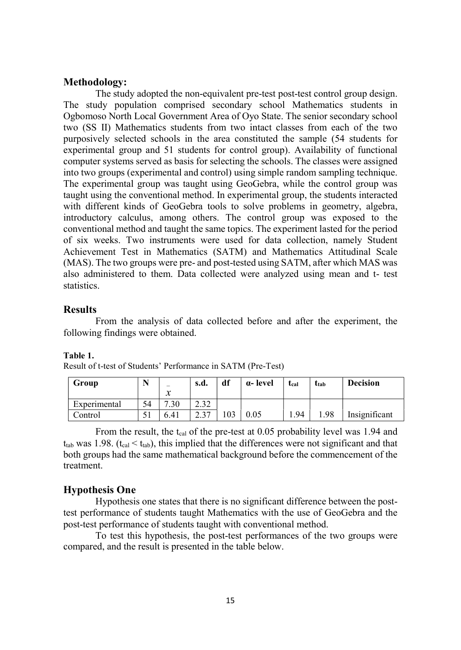# Methodology:

The study adopted the non-equivalent pre-test post-test control group design. The study population comprised secondary school Mathematics students in Ogbomoso North Local Government Area of Oyo State. The senior secondary school two (SS II) Mathematics students from two intact classes from each of the two purposively selected schools in the area constituted the sample (54 students for experimental group and 51 students for control group). Availability of functional computer systems served as basis for selecting the schools. The classes were assigned into two groups (experimental and control) using simple random sampling technique. The experimental group was taught using GeoGebra, while the control group was taught using the conventional method. In experimental group, the students interacted with different kinds of GeoGebra tools to solve problems in geometry, algebra, introductory calculus, among others. The control group was exposed to the conventional method and taught the same topics. The experiment lasted for the period of six weeks. Two instruments were used for data collection, namely Student Achievement Test in Mathematics (SATM) and Mathematics Attitudinal Scale (MAS). The two groups were pre- and post-tested using SATM, after which MAS was also administered to them. Data collected were analyzed using mean and t- test statistics.

# **Results**

From the analysis of data collected before and after the experiment, the following findings were obtained.

#### Table 1.

Result of t-test of Students' Performance in SATM (Pre-Test)

| Group        | <b>N</b> T | -<br>$\mathbf{v}$ | s.d.        | df  | a-level | t <sub>cal</sub> | t <sub>tab</sub> | <b>Decision</b> |
|--------------|------------|-------------------|-------------|-----|---------|------------------|------------------|-----------------|
| Experimental | 54         | л<br>$\cdot$ .30  | 22<br>ے د.ع |     |         |                  |                  |                 |
| Control      | J          | 6.41              | 227<br>، ت  | 103 | 0.05    | 1.94             | 1.98             | Insignificant   |

From the result, the t<sub>cal</sub> of the pre-test at  $0.05$  probability level was 1.94 and  $t_{lab}$  was 1.98. ( $t_{cal} < t_{tab}$ ), this implied that the differences were not significant and that both groups had the same mathematical background before the commencement of the treatment.

## Hypothesis One

Hypothesis one states that there is no significant difference between the posttest performance of students taught Mathematics with the use of GeoGebra and the post-test performance of students taught with conventional method.

 To test this hypothesis, the post-test performances of the two groups were compared, and the result is presented in the table below.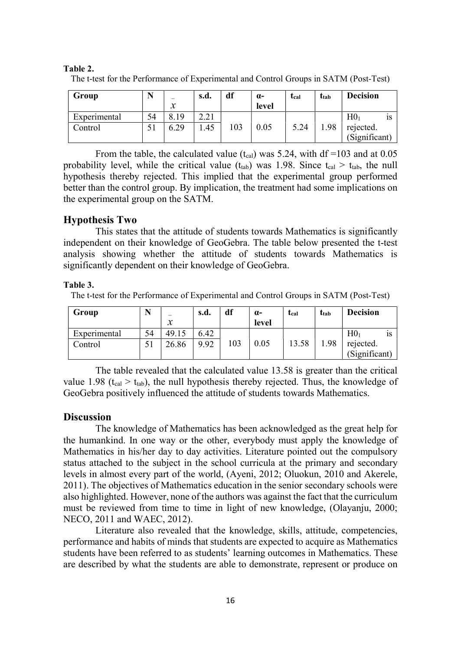| Group        |    | $\mathcal{X}$ | s.d. | df  | $\alpha$ -<br>level | tcal | ttab | <b>Decision</b> |
|--------------|----|---------------|------|-----|---------------------|------|------|-----------------|
| Experimental | 54 | 8.19          | 2.21 |     |                     |      |      | H0<br>1S        |
| Control      |    | 6.29          | .45  | 103 | 0.05                | 5.24 | 1.98 | rejected.       |
|              |    |               |      |     |                     |      |      | (Significant)   |

Table 2. The t-test for the Performance of Experimental and Control Groups in SATM (Post-Test)

From the table, the calculated value (t<sub>cal</sub>) was 5.24, with df =103 and at 0.05 probability level, while the critical value  $(t_{tab})$  was 1.98. Since  $t_{cal} > t_{tab}$ , the null hypothesis thereby rejected. This implied that the experimental group performed better than the control group. By implication, the treatment had some implications on the experimental group on the SATM.

# Hypothesis Two

 This states that the attitude of students towards Mathematics is significantly independent on their knowledge of GeoGebra. The table below presented the t-test analysis showing whether the attitude of students towards Mathematics is significantly dependent on their knowledge of GeoGebra.

#### Table 3.

The t-test for the Performance of Experimental and Control Groups in SATM (Post-Test)

| Group        | N  | -             | s.d. | df  | $\alpha$ - | tcal  | ttab | <b>Decision</b>       |
|--------------|----|---------------|------|-----|------------|-------|------|-----------------------|
|              |    | $\mathcal{X}$ |      |     | level      |       |      |                       |
| Experimental | 54 | 49.15         | 6.42 |     |            |       |      | H0 <sub>1</sub><br>1S |
| Control      | 51 | 26.86         | 9.92 | 103 | 0.05       | 13.58 | 1.98 | rejected.             |
|              |    |               |      |     |            |       |      | (Significant)         |

The table revealed that the calculated value 13.58 is greater than the critical value 1.98 (t<sub>cal</sub>  $>$  t<sub>tab</sub>), the null hypothesis thereby rejected. Thus, the knowledge of GeoGebra positively influenced the attitude of students towards Mathematics.

## **Discussion**

The knowledge of Mathematics has been acknowledged as the great help for the humankind. In one way or the other, everybody must apply the knowledge of Mathematics in his/her day to day activities. Literature pointed out the compulsory status attached to the subject in the school curricula at the primary and secondary levels in almost every part of the world, (Ayeni, 2012; Oluokun, 2010 and Akerele, 2011). The objectives of Mathematics education in the senior secondary schools were also highlighted. However, none of the authors was against the fact that the curriculum must be reviewed from time to time in light of new knowledge, (Olayanju, 2000; NECO, 2011 and WAEC, 2012).

 Literature also revealed that the knowledge, skills, attitude, competencies, performance and habits of minds that students are expected to acquire as Mathematics students have been referred to as students' learning outcomes in Mathematics. These are described by what the students are able to demonstrate, represent or produce on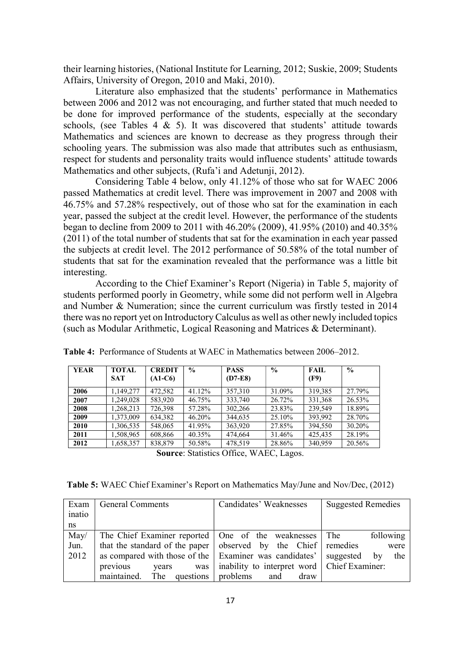their learning histories, (National Institute for Learning, 2012; Suskie, 2009; Students Affairs, University of Oregon, 2010 and Maki, 2010).

 Literature also emphasized that the students' performance in Mathematics between 2006 and 2012 was not encouraging, and further stated that much needed to be done for improved performance of the students, especially at the secondary schools, (see Tables  $4 \& 5$ ). It was discovered that students' attitude towards Mathematics and sciences are known to decrease as they progress through their schooling years. The submission was also made that attributes such as enthusiasm, respect for students and personality traits would influence students' attitude towards Mathematics and other subjects, (Rufa'i and Adetunji, 2012).

 Considering Table 4 below, only 41.12% of those who sat for WAEC 2006 passed Mathematics at credit level. There was improvement in 2007 and 2008 with 46.75% and 57.28% respectively, out of those who sat for the examination in each year, passed the subject at the credit level. However, the performance of the students began to decline from 2009 to 2011 with 46.20% (2009), 41.95% (2010) and 40.35% (2011) of the total number of students that sat for the examination in each year passed the subjects at credit level. The 2012 performance of 50.58% of the total number of students that sat for the examination revealed that the performance was a little bit interesting.

 According to the Chief Examiner's Report (Nigeria) in Table 5, majority of students performed poorly in Geometry, while some did not perform well in Algebra and Number & Numeration; since the current curriculum was firstly tested in 2014 there was no report yet on Introductory Calculus as well as other newly included topics (such as Modular Arithmetic, Logical Reasoning and Matrices & Determinant).

| <b>YEAR</b> | <b>TOTAL</b><br><b>SAT</b> | <b>CREDIT</b><br>$(A1-C6)$ | $\frac{0}{0}$ | <b>PASS</b><br>$(D7-E8)$ | $\%$   | <b>FAIL</b><br>(F9) | $\frac{6}{9}$ |
|-------------|----------------------------|----------------------------|---------------|--------------------------|--------|---------------------|---------------|
| 2006        | 1.149.277                  | 472.582                    | 41.12%        | 357,310                  | 31.09% | 319.385             | 27.79%        |
| 2007        | 1.249.028                  | 583,920                    | 46.75%        | 333,740                  | 26.72% | 331,368             | 26.53%        |
| 2008        | 1,268,213                  | 726,398                    | 57.28%        | 302.266                  | 23.83% | 239,549             | 18.89%        |
| 2009        | 1.373.009                  | 634,382                    | 46.20%        | 344,635                  | 25.10% | 393.992             | 28.70%        |
| 2010        | 1,306,535                  | 548,065                    | 41.95%        | 363,920                  | 27.85% | 394,550             | 30.20%        |
| 2011        | 1,508,965                  | 608,866                    | 40.35%        | 474,664                  | 31.46% | 425,435             | 28.19%        |
| 2012        | 1,658,357                  | 838,879                    | 50.58%        | 478,519                  | 28.86% | 340,959             | 20.56%        |

Table 4: Performance of Students at WAEC in Mathematics between 2006–2012.

Source: Statistics Office, WAEC, Lagos.

| <b>Table 5:</b> WAEC Chief Examiner's Report on Mathematics May/June and Nov/Dec, (2012) |  |  |
|------------------------------------------------------------------------------------------|--|--|
|                                                                                          |  |  |

| Exam   | <b>General Comments</b>                                             | Candidates' Weaknesses                        | <b>Suggested Remedies</b> |
|--------|---------------------------------------------------------------------|-----------------------------------------------|---------------------------|
| inatio |                                                                     |                                               |                           |
| ns     |                                                                     |                                               |                           |
| May/   | The Chief Examiner reported   One of the weaknesses   The           |                                               | following                 |
| Jun.   | that the standard of the paper   observed by the Chief   remedies   |                                               | were                      |
| 2012   | as compared with those of the Examiner was candidates' suggested by |                                               | the                       |
|        | previous<br>years<br>was                                            | inability to interpret word   Chief Examiner: |                           |
|        | maintained. The questions problems                                  | and<br>draw                                   |                           |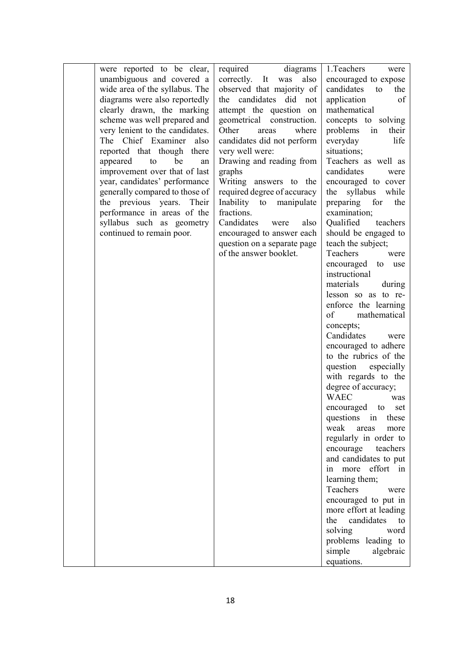| were reported to be clear,      | required<br>diagrams        | 1.Teachers<br>were       |
|---------------------------------|-----------------------------|--------------------------|
| unambiguous and covered a       | also<br>correctly. It was   | encouraged to expose     |
| wide area of the syllabus. The  | observed that majority of   | candidates<br>to<br>the  |
| diagrams were also reportedly   | the candidates did not      | application<br>οf        |
| clearly drawn, the marking      | attempt the question on     | mathematical             |
| scheme was well prepared and    | geometrical construction.   | concepts to solving      |
| very lenient to the candidates. | Other<br>where<br>areas     | problems<br>in<br>their  |
| The Chief Examiner also         | candidates did not perform  | everyday<br>life         |
| reported that though there      | very well were:             | situations;              |
| appeared<br>be<br>to<br>an      | Drawing and reading from    | Teachers as well as      |
| improvement over that of last   | graphs                      | candidates<br>were       |
| year, candidates' performance   | Writing answers to the      | encouraged to cover      |
| generally compared to those of  | required degree of accuracy | syllabus<br>while<br>the |
| the previous years.<br>Their    | Inability to<br>manipulate  | preparing<br>for<br>the  |
| performance in areas of the     | fractions.                  | examination;             |
| syllabus such as geometry       | Candidates<br>also<br>were  | Qualified<br>teachers    |
|                                 |                             |                          |
| continued to remain poor.       | encouraged to answer each   | should be engaged to     |
|                                 | question on a separate page | teach the subject;       |
|                                 | of the answer booklet.      | Teachers<br>were         |
|                                 |                             | encouraged to use        |
|                                 |                             | instructional            |
|                                 |                             | materials<br>during      |
|                                 |                             | lesson so as to re-      |
|                                 |                             | enforce the learning     |
|                                 |                             | mathematical<br>of       |
|                                 |                             | concepts;                |
|                                 |                             | Candidates<br>were       |
|                                 |                             | encouraged to adhere     |
|                                 |                             | to the rubrics of the    |
|                                 |                             | question<br>especially   |
|                                 |                             | with regards to the      |
|                                 |                             | degree of accuracy;      |
|                                 |                             | <b>WAEC</b><br>was       |
|                                 |                             | encouraged to<br>set     |
|                                 |                             | questions in<br>these    |
|                                 |                             | weak<br>areas<br>more    |
|                                 |                             |                          |
|                                 |                             | regularly in order to    |
|                                 |                             | encourage<br>teachers    |
|                                 |                             | and candidates to put    |
|                                 |                             | effort in<br>more<br>1n  |
|                                 |                             | learning them;           |
|                                 |                             | Teachers<br>were         |
|                                 |                             | encouraged to put in     |
|                                 |                             | more effort at leading   |
|                                 |                             | candidates<br>the<br>to  |
|                                 |                             | solving<br>word          |
|                                 |                             | problems leading to      |
|                                 |                             | simple<br>algebraic      |
|                                 |                             | equations.               |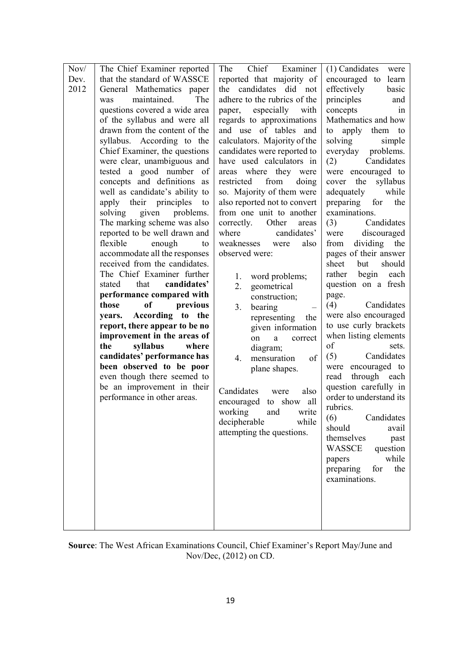| Nov/ | The Chief Examiner reported     | Examiner<br>The<br>Chief     | $(1)$ Candidates<br>were  |
|------|---------------------------------|------------------------------|---------------------------|
| Dev. | that the standard of WASSCE     | reported that majority of    | encouraged to<br>learn    |
| 2012 | General Mathematics paper       | the candidates did not       | effectively<br>basic      |
|      | was<br>maintained.<br>The       | adhere to the rubrics of the | principles<br>and         |
|      | questions covered a wide area   | especially<br>with<br>paper, | concepts<br>in            |
|      | of the syllabus and were all    | regards to approximations    | Mathematics and how       |
|      | drawn from the content of the   | and use of tables and        | apply<br>to<br>to<br>them |
|      | syllabus. According to the      | calculators. Majority of the | solving<br>simple         |
|      | Chief Examiner, the questions   | candidates were reported to  | everyday<br>problems.     |
|      | were clear, unambiguous and     | have used calculators in     | (2)<br>Candidates         |
|      | tested a good number of         | areas where they were        | were encouraged to        |
|      | concepts and definitions as     | restricted<br>from<br>doing  | the<br>cover<br>syllabus  |
|      | well as candidate's ability to  | so. Majority of them were    | adequately<br>while       |
|      | apply their<br>principles<br>to | also reported not to convert | preparing<br>for<br>the   |
|      | problems.<br>solving<br>given   | from one unit to another     | examinations.             |
|      | The marking scheme was also     | correctly.<br>Other<br>areas | Candidates<br>(3)         |
|      | reported to be well drawn and   | where<br>candidates'         | discouraged<br>were       |
|      | flexible<br>enough<br>to        | weaknesses<br>also<br>were   | dividing<br>the<br>from   |
|      | accommodate all the responses   | observed were:               | pages of their answer     |
|      | received from the candidates.   |                              | sheet<br>but<br>should    |
|      | The Chief Examiner further      | 1.<br>word problems;         | begin<br>rather<br>each   |
|      | candidates'<br>stated<br>that   | geometrical<br>2.            | question on a fresh       |
|      | performance compared with       | construction;                | page.                     |
|      | those<br>of<br>previous         | bearing<br>3.                | (4)<br>Candidates         |
|      | According to the<br>years.      | representing<br>the          | were also encouraged      |
|      | report, there appear to be no   | given information            | to use curly brackets     |
|      | improvement in the areas of     | on<br>a<br>correct           | when listing elements     |
|      | the<br>syllabus<br>where        | diagram;                     | of<br>sets.               |
|      | candidates' performance has     | mensuration<br>of<br>4.      | (5)<br>Candidates         |
|      | been observed to be poor        | plane shapes.                | were encouraged to        |
|      | even though there seemed to     |                              | through each<br>read      |
|      | be an improvement in their      | Candidates<br>also<br>were   | question carefully in     |
|      | performance in other areas.     | encouraged to show all       | order to understand its   |
|      |                                 | working<br>and<br>write      | rubrics.                  |
|      |                                 | decipherable<br>while        | (6)<br>Candidates         |
|      |                                 | attempting the questions.    | should<br>avail           |
|      |                                 |                              | themselves<br>past        |
|      |                                 |                              | <b>WASSCE</b><br>question |
|      |                                 |                              | while<br>papers           |
|      |                                 |                              | preparing<br>for<br>the   |
|      |                                 |                              | examinations.             |
|      |                                 |                              |                           |
|      |                                 |                              |                           |
|      |                                 |                              |                           |
|      |                                 |                              |                           |

Source: The West African Examinations Council, Chief Examiner's Report May/June and Nov/Dec, (2012) on CD.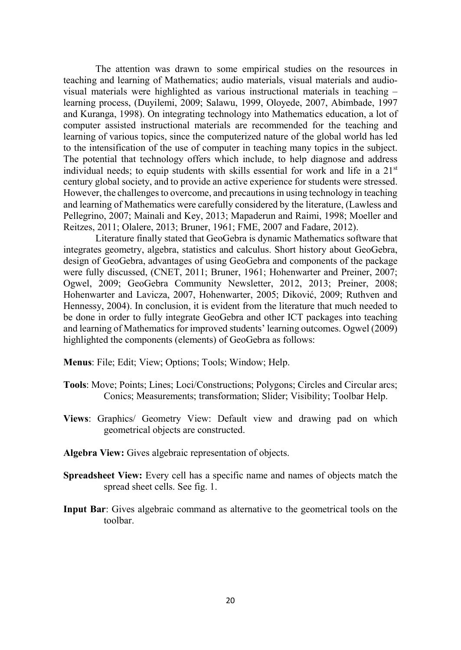The attention was drawn to some empirical studies on the resources in teaching and learning of Mathematics; audio materials, visual materials and audiovisual materials were highlighted as various instructional materials in teaching – learning process, (Duyilemi, 2009; Salawu, 1999, Oloyede, 2007, Abimbade, 1997 and Kuranga, 1998). On integrating technology into Mathematics education, a lot of computer assisted instructional materials are recommended for the teaching and learning of various topics, since the computerized nature of the global world has led to the intensification of the use of computer in teaching many topics in the subject. The potential that technology offers which include, to help diagnose and address individual needs; to equip students with skills essential for work and life in a  $21<sup>st</sup>$ century global society, and to provide an active experience for students were stressed. However, the challenges to overcome, and precautions in using technology in teaching and learning of Mathematics were carefully considered by the literature, (Lawless and Pellegrino, 2007; Mainali and Key, 2013; Mapaderun and Raimi, 1998; Moeller and Reitzes, 2011; Olalere, 2013; Bruner, 1961; FME, 2007 and Fadare, 2012).

 Literature finally stated that GeoGebra is dynamic Mathematics software that integrates geometry, algebra, statistics and calculus. Short history about GeoGebra, design of GeoGebra, advantages of using GeoGebra and components of the package were fully discussed, (CNET, 2011; Bruner, 1961; Hohenwarter and Preiner, 2007; Ogwel, 2009; GeoGebra Community Newsletter, 2012, 2013; Preiner, 2008; Hohenwarter and Lavicza, 2007, Hohenwarter, 2005; Diković, 2009; Ruthven and Hennessy, 2004). In conclusion, it is evident from the literature that much needed to be done in order to fully integrate GeoGebra and other ICT packages into teaching and learning of Mathematics for improved students' learning outcomes. Ogwel (2009) highlighted the components (elements) of GeoGebra as follows:

Menus: File; Edit; View; Options; Tools; Window; Help.

- Tools: Move; Points; Lines; Loci/Constructions; Polygons; Circles and Circular arcs; Conics; Measurements; transformation; Slider; Visibility; Toolbar Help.
- Views: Graphics/ Geometry View: Default view and drawing pad on which geometrical objects are constructed.
- Algebra View: Gives algebraic representation of objects.
- Spreadsheet View: Every cell has a specific name and names of objects match the spread sheet cells. See fig. 1.
- Input Bar: Gives algebraic command as alternative to the geometrical tools on the toolbar.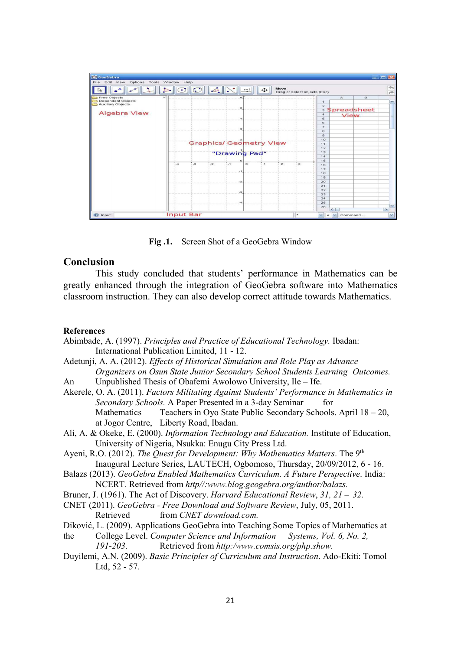

Fig .1. Screen Shot of a GeoGebra Window

# Conclusion

This study concluded that students' performance in Mathematics can be greatly enhanced through the integration of GeoGebra software into Mathematics classroom instruction. They can also develop correct attitude towards Mathematics.

## **References**

- Abimbade, A. (1997). Principles and Practice of Educational Technology. Ibadan: International Publication Limited, 11 - 12.
- Adetunji, A. A. (2012). Effects of Historical Simulation and Role Play as Advance Organizers on Osun State Junior Secondary School Students Learning Outcomes.
- An Unpublished Thesis of Obafemi Awolowo University, Ile Ife.
- Akerele, O. A. (2011). Factors Militating Against Students' Performance in Mathematics in Secondary Schools. A Paper Presented in a 3-day Seminar for Mathematics Teachers in Oyo State Public Secondary Schools. April  $18 - 20$ , at Jogor Centre, Liberty Road, Ibadan.
- Ali, A. & Okeke, E. (2000). Information Technology and Education. Institute of Education, University of Nigeria, Nsukka: Enugu City Press Ltd.
- Ayeni, R.O. (2012). The Quest for Development: Why Mathematics Matters. The 9<sup>th</sup> Inaugural Lecture Series, LAUTECH, Ogbomoso, Thursday, 20/09/2012, 6 - 16.
- Balazs (2013). GeoGebra Enabled Mathematics Curriculum. A Future Perspective. India: NCERT. Retrieved from http//:www.blog.geogebra.org/author/balazs.
- Bruner, J. (1961). The Act of Discovery. Harvard Educational Review,  $31$ ,  $21 32$ .
- CNET (2011). GeoGebra Free Download and Software Review, July, 05, 2011. Retrieved from *CNET download.com.*
- Diković, L. (2009). Applications GeoGebra into Teaching Some Topics of Mathematics at
- the College Level. Computer Science and Information Systems, Vol. 6, No. 2,
	- 191-203. Retrieved from http:/www.comsis.org/php.show.
- Duyilemi, A.N. (2009). Basic Principles of Curriculum and Instruction. Ado-Ekiti: Tomol Ltd, 52 - 57.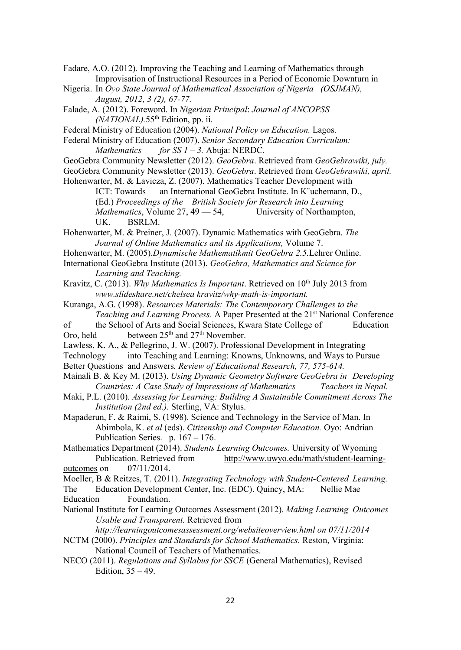Fadare, A.O. (2012). Improving the Teaching and Learning of Mathematics through Improvisation of Instructional Resources in a Period of Economic Downturn in

Nigeria. In Oyo State Journal of Mathematical Association of Nigeria (OSJMAN), August, 2012, 3 (2), 67-77.

Falade, A. (2012). Foreword. In Nigerian Principal: Journal of ANCOPSS  $(NATIONAL)$ .55<sup>th</sup> Edition, pp. ii.

Federal Ministry of Education (2004). National Policy on Education. Lagos.

Federal Ministry of Education (2007). Senior Secondary Education Curriculum: Mathematics for  $SS$   $1 - 3$ . Abuja: NERDC.

- GeoGebra Community Newsletter (2012). GeoGebra. Retrieved from GeoGebrawiki, july.
- GeoGebra Community Newsletter (2013). GeoGebra. Retrieved from GeoGebrawiki, april.

Hohenwarter, M. & Lavicza, Z. (2007). Mathematics Teacher Development with

 ICT: Towards an International GeoGebra Institute. In K¨uchemann, D., (Ed.) Proceedings of the British Society for Research into Learning Mathematics, Volume 27, 49 - 54, University of Northampton, UK. BSRLM.

Hohenwarter, M. & Preiner, J. (2007). Dynamic Mathematics with GeoGebra. The Journal of Online Mathematics and its Applications, Volume 7.

Hohenwarter, M. (2005).Dynamische Mathematikmit GeoGebra 2.5.Lehrer Online.

International GeoGebra Institute (2013). GeoGebra, Mathematics and Science for Learning and Teaching.

Kravitz, C. (2013). Why Mathematics Is Important. Retrieved on 10<sup>th</sup> July 2013 from www.slideshare.net/chelsea kravitz/why-math-is-important.

Kuranga, A.G. (1998). Resources Materials: The Contemporary Challenges to the Teaching and Learning Process. A Paper Presented at the 21<sup>st</sup> National Conference

of the School of Arts and Social Sciences, Kwara State College of Education Oro, held between  $25<sup>th</sup>$  and  $27<sup>th</sup>$  November.

Lawless, K. A., & Pellegrino, J. W. (2007). Professional Development in Integrating

Technology into Teaching and Learning: Knowns, Unknowns, and Ways to Pursue

Better Questions and Answers. Review of Educational Research, 77, 575-614.

- Mainali B. & Key M. (2013). Using Dynamic Geometry Software GeoGebra in Developing Countries: A Case Study of Impressions of Mathematics Teachers in Nepal.
- Maki, P.L. (2010). Assessing for Learning: Building A Sustainable Commitment Across The Institution (2nd ed.). Sterling, VA: Stylus.

Mapaderun, F. & Raimi, S. (1998). Science and Technology in the Service of Man. In Abimbola, K. et al (eds). Citizenship and Computer Education. Oyo: Andrian Publication Series. p. 167 – 176.

Mathematics Department (2014). Students Learning Outcomes. University of Wyoming Publication. Retrieved from http://www.uwyo.edu/math/student-learningoutcomes on 07/11/2014.

Moeller, B & Reitzes, T. (2011). Integrating Technology with Student-Centered Learning.

- The Education Development Center, Inc. (EDC). Quincy, MA: Nellie Mae Education Foundation.
- National Institute for Learning Outcomes Assessment (2012). Making Learning Outcomes Usable and Transparent. Retrieved from

http://learningoutcomesassessment.org/websiteoverview.html on 07/11/2014 NCTM (2000). Principles and Standards for School Mathematics. Reston, Virginia:

National Council of Teachers of Mathematics.

NECO (2011). Regulations and Syllabus for SSCE (General Mathematics), Revised Edition, 35 – 49.